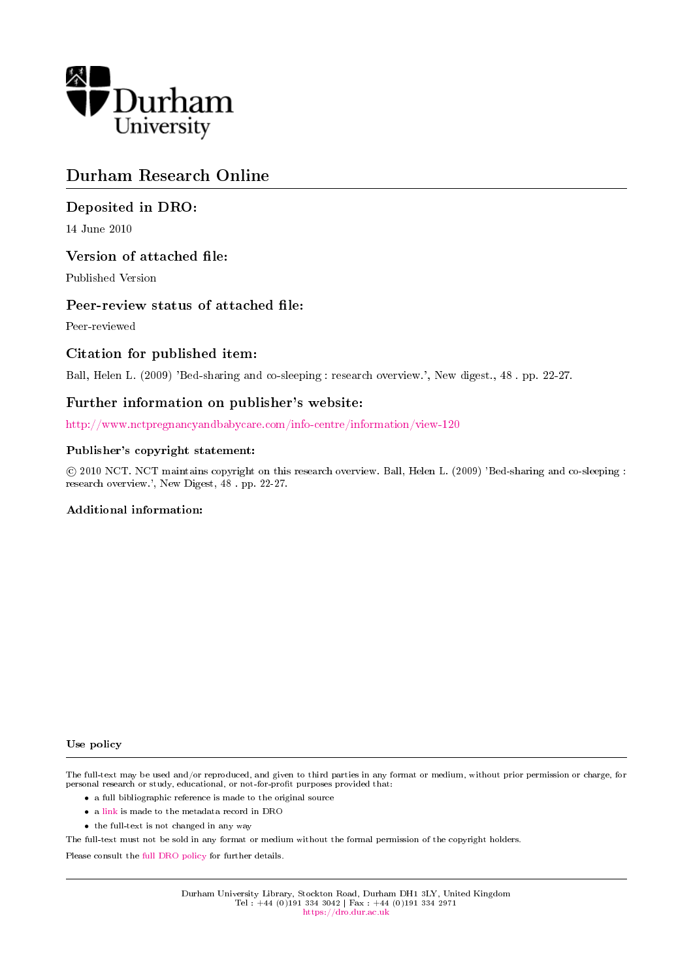

## Durham Research Online

## Deposited in DRO:

14 June 2010

## Version of attached file:

Published Version

## Peer-review status of attached file:

Peer-reviewed

## Citation for published item:

Ball, Helen L. (2009) 'Bed-sharing and co-sleeping : research overview.', New digest., 48 . pp. 22-27.

## Further information on publisher's website:

<http://www.nctpregnancyandbabycare.com/info-centre/information/view-120>

#### Publisher's copyright statement:

 c 2010 NCT. NCT maintains copyright on this research overview. Ball, Helen L. (2009) 'Bed-sharing and co-sleeping : research overview.', New Digest, 48 . pp. 22-27.

#### Additional information:

#### Use policy

The full-text may be used and/or reproduced, and given to third parties in any format or medium, without prior permission or charge, for personal research or study, educational, or not-for-profit purposes provided that:

- a full bibliographic reference is made to the original source
- a [link](http://dro.dur.ac.uk/6691/) is made to the metadata record in DRO
- the full-text is not changed in any way

The full-text must not be sold in any format or medium without the formal permission of the copyright holders.

Please consult the [full DRO policy](https://dro.dur.ac.uk/policies/usepolicy.pdf) for further details.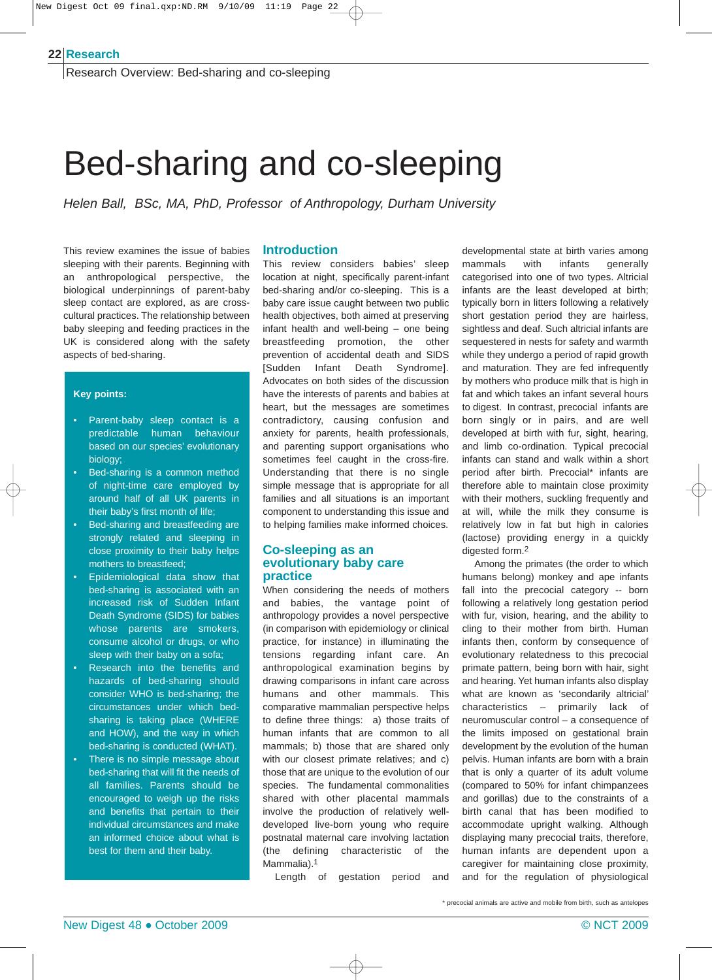#### **Research 22**

Research Overview: Bed-sharing and co-sleeping

# Bed-sharing and co-sleeping

*Helen Ball, BSc, MA, PhD, Professor of Anthropology, Durham University*

This review examines the issue of babies sleeping with their parents. Beginning with an anthropological perspective, the biological underpinnings of parent-baby sleep contact are explored, as are crosscultural practices. The relationship between baby sleeping and feeding practices in the UK is considered along with the safety aspects of bed-sharing.

#### **Key points:**

- Parent-baby sleep contact is a predictable human behaviour based on our species' evolutionary biology;
- Bed-sharing is a common method of night-time care employed by around half of all UK parents in their baby's first month of life;
- Bed-sharing and breastfeeding are strongly related and sleeping in close proximity to their baby helps mothers to breastfeed;
- Epidemiological data show that bed-sharing is associated with an increased risk of Sudden Infant Death Syndrome (SIDS) for babies whose parents are smokers, consume alcohol or drugs, or who sleep with their baby on a sofa;
- Research into the benefits and hazards of bed-sharing should consider WHO is bed-sharing; the circumstances under which bedsharing is taking place (WHERE and HOW), and the way in which bed-sharing is conducted (WHAT).
- There is no simple message about bed-sharing that will fit the needs of all families. Parents should be encouraged to weigh up the risks and benefits that pertain to their individual circumstances and make an informed choice about what is best for them and their baby.

### **Introduction**

This review considers babies' sleep location at night, specifically parent-infant bed-sharing and/or co-sleeping. This is a baby care issue caught between two public health objectives, both aimed at preserving infant health and well-being – one being breastfeeding promotion, the other prevention of accidental death and SIDS [Sudden Infant Death Syndrome]. Advocates on both sides of the discussion have the interests of parents and babies at heart, but the messages are sometimes contradictory, causing confusion and anxiety for parents, health professionals, and parenting support organisations who sometimes feel caught in the cross-fire. Understanding that there is no single simple message that is appropriate for all families and all situations is an important component to understanding this issue and to helping families make informed choices.

#### **Co-sleeping as an evolutionary baby care practice**

When considering the needs of mothers and babies, the vantage point of anthropology provides a novel perspective (in comparison with epidemiology or clinical practice, for instance) in illuminating the tensions regarding infant care. An anthropological examination begins by drawing comparisons in infant care across humans and other mammals. This comparative mammalian perspective helps to define three things: a) those traits of human infants that are common to all mammals; b) those that are shared only with our closest primate relatives; and c) those that are unique to the evolution of our species. The fundamental commonalities shared with other placental mammals involve the production of relatively welldeveloped live-born young who require postnatal maternal care involving lactation (the defining characteristic of the Mammalia).<sup>1</sup>

Length of gestation period and

developmental state at birth varies among mammals with infants generally categorised into one of two types. Altricial infants are the least developed at birth; typically born in litters following a relatively short gestation period they are hairless, sightless and deaf. Such altricial infants are sequestered in nests for safety and warmth while they undergo a period of rapid growth and maturation. They are fed infrequently by mothers who produce milk that is high in fat and which takes an infant several hours to digest. In contrast, precocial infants are born singly or in pairs, and are well developed at birth with fur, sight, hearing, and limb co-ordination. Typical precocial infants can stand and walk within a short period after birth. Precocial\* infants are therefore able to maintain close proximity with their mothers, suckling frequently and at will, while the milk they consume is relatively low in fat but high in calories (lactose) providing energy in a quickly digested form.2

Among the primates (the order to which humans belong) monkey and ape infants fall into the precocial category -- born following a relatively long gestation period with fur, vision, hearing, and the ability to cling to their mother from birth. Human infants then, conform by consequence of evolutionary relatedness to this precocial primate pattern, being born with hair, sight and hearing. Yet human infants also display what are known as 'secondarily altricial' characteristics – primarily lack of neuromuscular control – a consequence of the limits imposed on gestational brain development by the evolution of the human pelvis. Human infants are born with a brain that is only a quarter of its adult volume (compared to 50% for infant chimpanzees and gorillas) due to the constraints of a birth canal that has been modified to accommodate upright walking. Although displaying many precocial traits, therefore, human infants are dependent upon a caregiver for maintaining close proximity, and for the regulation of physiological

\* precocial animals are active and mobile from birth, such as antelopes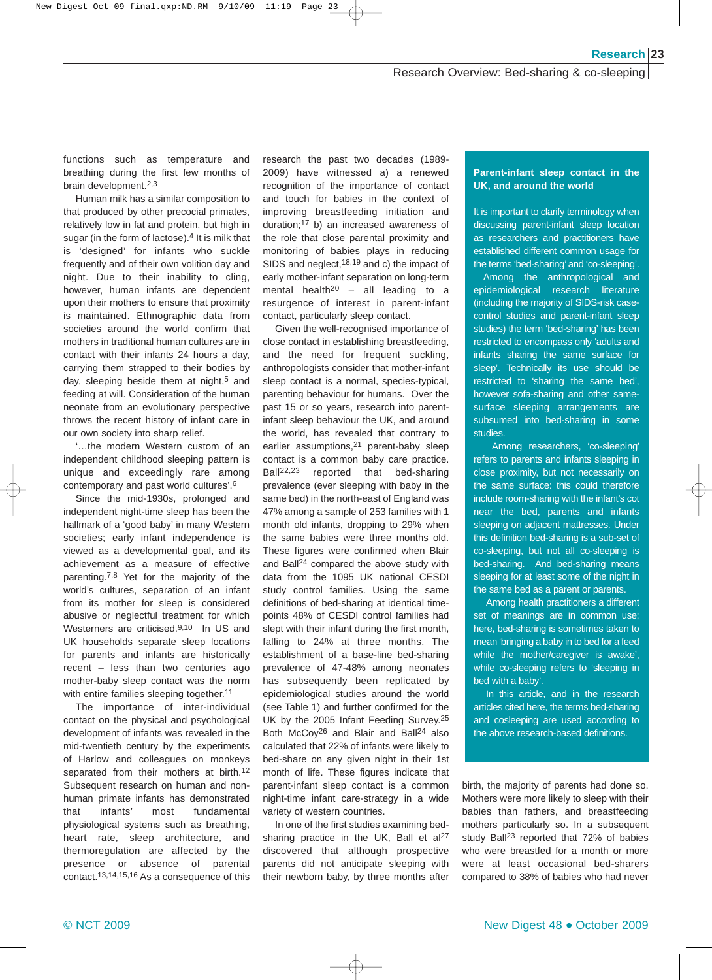#### Research Overview: Bed-sharing & co-sleeping

functions such as temperature and breathing during the first few months of brain development.2,3

Human milk has a similar composition to that produced by other precocial primates, relatively low in fat and protein, but high in sugar (in the form of lactose).<sup>4</sup> It is milk that is 'designed' for infants who suckle frequently and of their own volition day and night. Due to their inability to cling, however, human infants are dependent upon their mothers to ensure that proximity is maintained. Ethnographic data from societies around the world confirm that mothers in traditional human cultures are in contact with their infants 24 hours a day, carrying them strapped to their bodies by day, sleeping beside them at night,<sup>5</sup> and feeding at will. Consideration of the human neonate from an evolutionary perspective throws the recent history of infant care in our own society into sharp relief.

'…the modern Western custom of an independent childhood sleeping pattern is unique and exceedingly rare among contemporary and past world cultures'.6

Since the mid-1930s, prolonged and independent night-time sleep has been the hallmark of a 'good baby' in many Western societies; early infant independence is viewed as a developmental goal, and its achievement as a measure of effective parenting.7,8 Yet for the majority of the world's cultures, separation of an infant from its mother for sleep is considered abusive or neglectful treatment for which Westerners are criticised.9,10 In US and UK households separate sleep locations for parents and infants are historically recent – less than two centuries ago mother-baby sleep contact was the norm with entire families sleeping together.<sup>11</sup>

The importance of inter-individual contact on the physical and psychological development of infants was revealed in the mid-twentieth century by the experiments of Harlow and colleagues on monkeys separated from their mothers at birth.<sup>12</sup> Subsequent research on human and nonhuman primate infants has demonstrated that infants' most fundamental physiological systems such as breathing, heart rate, sleep architecture, and thermoregulation are affected by the presence or absence of parental contact.13,14,15,16 As a consequence of this research the past two decades (1989- 2009) have witnessed a) a renewed recognition of the importance of contact and touch for babies in the context of improving breastfeeding initiation and duration;17 b) an increased awareness of the role that close parental proximity and monitoring of babies plays in reducing SIDS and neglect, <sup>18, 19</sup> and c) the impact of early mother-infant separation on long-term mental health20 – all leading to a resurgence of interest in parent-infant contact, particularly sleep contact.

Given the well-recognised importance of close contact in establishing breastfeeding, and the need for frequent suckling, anthropologists consider that mother-infant sleep contact is a normal, species-typical, parenting behaviour for humans. Over the past 15 or so years, research into parentinfant sleep behaviour the UK, and around the world, has revealed that contrary to earlier assumptions,21 parent-baby sleep contact is a common baby care practice. Ball22,23 reported that bed-sharing prevalence (ever sleeping with baby in the same bed) in the north-east of England was 47% among a sample of 253 families with 1 month old infants, dropping to 29% when the same babies were three months old. These figures were confirmed when Blair and Ball24 compared the above study with data from the 1095 UK national CESDI study control families. Using the same definitions of bed-sharing at identical timepoints 48% of CESDI control families had slept with their infant during the first month, falling to 24% at three months. The establishment of a base-line bed-sharing prevalence of 47-48% among neonates has subsequently been replicated by epidemiological studies around the world (see Table 1) and further confirmed for the UK by the 2005 Infant Feeding Survey.25 Both McCoy26 and Blair and Ball24 also calculated that 22% of infants were likely to bed-share on any given night in their 1st month of life. These figures indicate that parent-infant sleep contact is a common night-time infant care-strategy in a wide variety of western countries.

In one of the first studies examining bedsharing practice in the UK, Ball et al<sup>27</sup> discovered that although prospective parents did not anticipate sleeping with their newborn baby, by three months after

#### **Parent-infant sleep contact in the UK, and around the world**

It is important to clarify terminology when discussing parent-infant sleep location as researchers and practitioners have established different common usage for the terms 'bed-sharing' and 'co-sleeping'.

Among the anthropological and epidemiological research literature (including the majority of SIDS-risk casecontrol studies and parent-infant sleep studies) the term 'bed-sharing' has been restricted to encompass only 'adults and infants sharing the same surface for sleep'. Technically its use should be restricted to 'sharing the same bed', however sofa-sharing and other samesurface sleeping arrangements are subsumed into bed-sharing in some studies.

Among researchers, 'co-sleeping' refers to parents and infants sleeping in close proximity, but not necessarily on the same surface: this could therefore include room-sharing with the infant's cot near the bed, parents and infants sleeping on adjacent mattresses. Under this definition bed-sharing is a sub-set of co-sleeping, but not all co-sleeping is bed-sharing. And bed-sharing means sleeping for at least some of the night in the same bed as a parent or parents.

Among health practitioners a different set of meanings are in common use; here, bed-sharing is sometimes taken to mean 'bringing a baby in to bed for a feed while the mother/caregiver is awake', while co-sleeping refers to 'sleeping in bed with a baby'.

In this article, and in the research articles cited here, the terms bed-sharing and cosleeping are used according to the above research-based definitions.

birth, the majority of parents had done so. Mothers were more likely to sleep with their babies than fathers, and breastfeeding mothers particularly so. In a subsequent study Ball<sup>23</sup> reported that 72% of babies who were breastfed for a month or more were at least occasional bed-sharers compared to 38% of babies who had never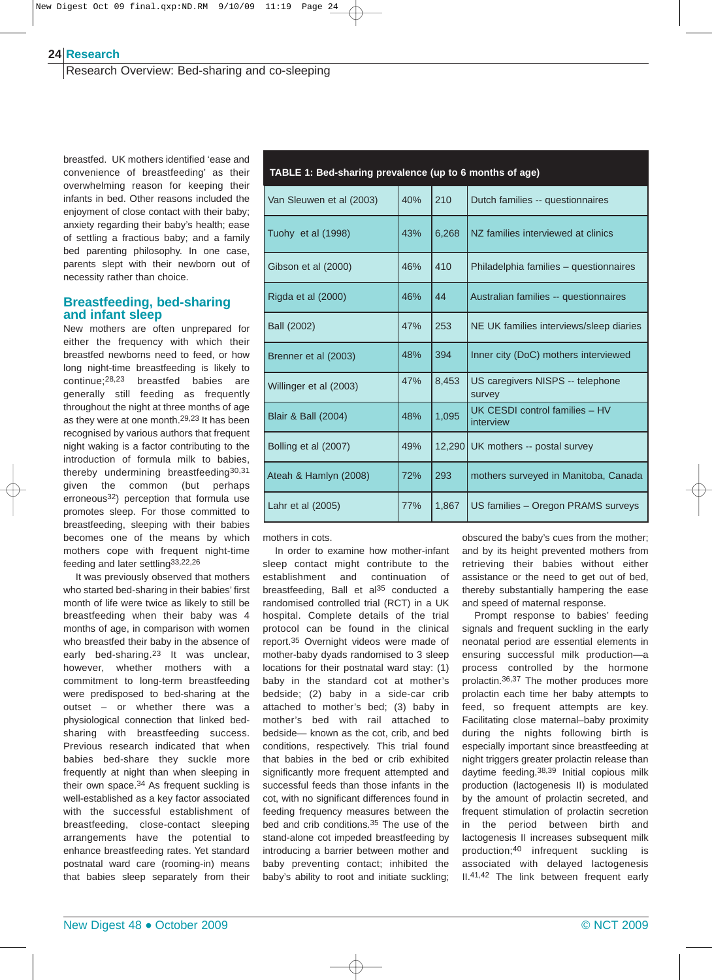#### **Research 24**

Research Overview: Bed-sharing and co-sleeping

breastfed. UK mothers identified 'ease and convenience of breastfeeding' as their overwhelming reason for keeping their infants in bed. Other reasons included the enjoyment of close contact with their baby; anxiety regarding their baby's health; ease of settling a fractious baby; and a family bed parenting philosophy. In one case, parents slept with their newborn out of necessity rather than choice.

#### **Breastfeeding, bed-sharing and infant sleep**

New mothers are often unprepared for either the frequency with which their breastfed newborns need to feed, or how long night-time breastfeeding is likely to continue;28,23 breastfed babies are generally still feeding as frequently throughout the night at three months of age as they were at one month.29,23 It has been recognised by various authors that frequent night waking is a factor contributing to the introduction of formula milk to babies, thereby undermining breastfeeding30,31 given the common (but perhaps erroneous32) perception that formula use promotes sleep. For those committed to breastfeeding, sleeping with their babies becomes one of the means by which mothers cope with frequent night-time feeding and later settling<sup>33,22,26</sup>

It was previously observed that mothers who started bed-sharing in their babies' first month of life were twice as likely to still be breastfeeding when their baby was 4 months of age, in comparison with women who breastfed their baby in the absence of early bed-sharing.<sup>23</sup> It was unclear, however, whether mothers with a commitment to long-term breastfeeding were predisposed to bed-sharing at the outset – or whether there was a physiological connection that linked bedsharing with breastfeeding success. Previous research indicated that when babies bed-share they suckle more frequently at night than when sleeping in their own space.34 As frequent suckling is well-established as a key factor associated with the successful establishment of breastfeeding, close-contact sleeping arrangements have the potential to enhance breastfeeding rates. Yet standard postnatal ward care (rooming-in) means that babies sleep separately from their

**TABLE 1: Bed-sharing prevalence (up to 6 months of age)**

| Van Sleuwen et al (2003)       | 40% | 210    | Dutch families -- questionnaires            |
|--------------------------------|-----|--------|---------------------------------------------|
| Tuohy et al (1998)             | 43% | 6,268  | NZ families interviewed at clinics          |
| Gibson et al (2000)            | 46% | 410    | Philadelphia families - questionnaires      |
| Rigda et al (2000)             | 46% | 44     | Australian families -- questionnaires       |
| <b>Ball (2002)</b>             | 47% | 253    | NE UK families interviews/sleep diaries     |
| Brenner et al (2003)           | 48% | 394    | Inner city (DoC) mothers interviewed        |
| Willinger et al (2003)         | 47% | 8,453  | US caregivers NISPS -- telephone<br>survey  |
| <b>Blair &amp; Ball (2004)</b> | 48% | 1,095  | UK CESDI control families - HV<br>interview |
| Bolling et al (2007)           | 49% | 12,290 | UK mothers -- postal survey                 |
| Ateah & Hamlyn (2008)          | 72% | 293    | mothers surveyed in Manitoba, Canada        |
| Lahr et al (2005)              | 77% | 1,867  | US families - Oregon PRAMS surveys          |

mothers in cots.

In order to examine how mother-infant sleep contact might contribute to the establishment and continuation of breastfeeding, Ball et al<sup>35</sup> conducted a randomised controlled trial (RCT) in a UK hospital. Complete details of the trial protocol can be found in the clinical report.35 Overnight videos were made of mother-baby dyads randomised to 3 sleep locations for their postnatal ward stay: (1) baby in the standard cot at mother's bedside; (2) baby in a side-car crib attached to mother's bed; (3) baby in mother's bed with rail attached to bedside— known as the cot, crib, and bed conditions, respectively. This trial found that babies in the bed or crib exhibited significantly more frequent attempted and successful feeds than those infants in the cot, with no significant differences found in feeding frequency measures between the bed and crib conditions.35 The use of the stand-alone cot impeded breastfeeding by introducing a barrier between mother and baby preventing contact; inhibited the baby's ability to root and initiate suckling; obscured the baby's cues from the mother; and by its height prevented mothers from retrieving their babies without either assistance or the need to get out of bed, thereby substantially hampering the ease and speed of maternal response.

Prompt response to babies' feeding signals and frequent suckling in the early neonatal period are essential elements in ensuring successful milk production—a process controlled by the hormone prolactin.36,37 The mother produces more prolactin each time her baby attempts to feed, so frequent attempts are key. Facilitating close maternal–baby proximity during the nights following birth is especially important since breastfeeding at night triggers greater prolactin release than daytime feeding.38,39 Initial copious milk production (lactogenesis II) is modulated by the amount of prolactin secreted, and frequent stimulation of prolactin secretion in the period between birth and lactogenesis II increases subsequent milk production;40 infrequent suckling is associated with delayed lactogenesis II.41,42 The link between frequent early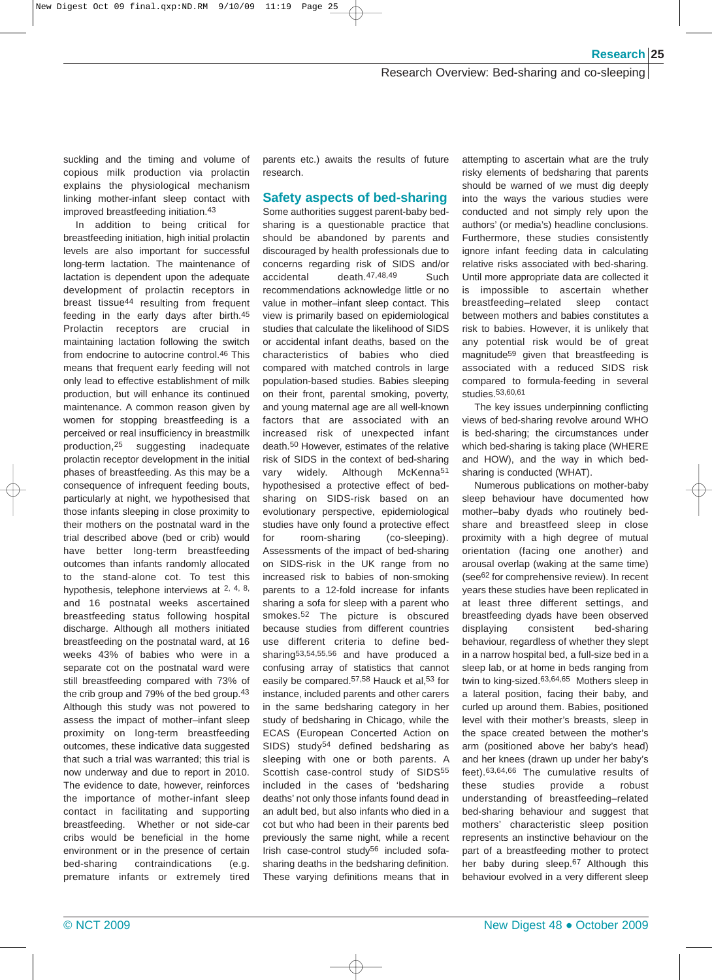#### Research Overview: Bed-sharing and co-sleeping

suckling and the timing and volume of copious milk production via prolactin explains the physiological mechanism linking mother-infant sleep contact with improved breastfeeding initiation.43

In addition to being critical for breastfeeding initiation, high initial prolactin levels are also important for successful long-term lactation. The maintenance of lactation is dependent upon the adequate development of prolactin receptors in breast tissue44 resulting from frequent feeding in the early days after birth.45 Prolactin receptors are crucial in maintaining lactation following the switch from endocrine to autocrine control.46 This means that frequent early feeding will not only lead to effective establishment of milk production, but will enhance its continued maintenance. A common reason given by women for stopping breastfeeding is a perceived or real insufficiency in breastmilk production,25 suggesting inadequate prolactin receptor development in the initial phases of breastfeeding. As this may be a consequence of infrequent feeding bouts, particularly at night, we hypothesised that those infants sleeping in close proximity to their mothers on the postnatal ward in the trial described above (bed or crib) would have better long-term breastfeeding outcomes than infants randomly allocated to the stand-alone cot. To test this hypothesis, telephone interviews at 2, 4, 8, and 16 postnatal weeks ascertained breastfeeding status following hospital discharge. Although all mothers initiated breastfeeding on the postnatal ward, at 16 weeks 43% of babies who were in a separate cot on the postnatal ward were still breastfeeding compared with 73% of the crib group and 79% of the bed group.43 Although this study was not powered to assess the impact of mother–infant sleep proximity on long-term breastfeeding outcomes, these indicative data suggested that such a trial was warranted; this trial is now underway and due to report in 2010. The evidence to date, however, reinforces the importance of mother-infant sleep contact in facilitating and supporting breastfeeding. Whether or not side-car cribs would be beneficial in the home environment or in the presence of certain bed-sharing contraindications (e.g. premature infants or extremely tired

parents etc.) awaits the results of future research.

## **Safety aspects of bed-sharing**

Some authorities suggest parent-baby bedsharing is a questionable practice that should be abandoned by parents and discouraged by health professionals due to concerns regarding risk of SIDS and/or accidental death.47,48,49 Such recommendations acknowledge little or no value in mother–infant sleep contact. This view is primarily based on epidemiological studies that calculate the likelihood of SIDS or accidental infant deaths, based on the characteristics of babies who died compared with matched controls in large population-based studies. Babies sleeping on their front, parental smoking, poverty, and young maternal age are all well-known factors that are associated with an increased risk of unexpected infant death.50 However, estimates of the relative risk of SIDS in the context of bed-sharing vary widely. Although McKenna<sup>51</sup> hypothesised a protective effect of bedsharing on SIDS-risk based on an evolutionary perspective, epidemiological studies have only found a protective effect for room-sharing (co-sleeping). Assessments of the impact of bed-sharing on SIDS-risk in the UK range from no increased risk to babies of non-smoking parents to a 12-fold increase for infants sharing a sofa for sleep with a parent who smokes.52 The picture is obscured because studies from different countries use different criteria to define bedsharing53,54,55,56 and have produced a confusing array of statistics that cannot easily be compared.<sup>57,58</sup> Hauck et al,<sup>53</sup> for instance, included parents and other carers in the same bedsharing category in her study of bedsharing in Chicago, while the ECAS (European Concerted Action on SIDS) study<sup>54</sup> defined bedsharing as sleeping with one or both parents. A Scottish case-control study of SIDS<sup>55</sup> included in the cases of 'bedsharing deaths' not only those infants found dead in an adult bed, but also infants who died in a cot but who had been in their parents bed previously the same night, while a recent Irish case-control study<sup>56</sup> included sofasharing deaths in the bedsharing definition. These varying definitions means that in attempting to ascertain what are the truly risky elements of bedsharing that parents should be warned of we must dig deeply into the ways the various studies were conducted and not simply rely upon the authors' (or media's) headline conclusions. Furthermore, these studies consistently ignore infant feeding data in calculating relative risks associated with bed-sharing. Until more appropriate data are collected it is impossible to ascertain whether breastfeeding–related sleep contact between mothers and babies constitutes a risk to babies. However, it is unlikely that any potential risk would be of great magnitude59 given that breastfeeding is associated with a reduced SIDS risk compared to formula-feeding in several studies.53,60,61

The key issues underpinning conflicting views of bed-sharing revolve around WHO is bed-sharing; the circumstances under which bed-sharing is taking place (WHERE and HOW), and the way in which bedsharing is conducted (WHAT).

Numerous publications on mother-baby sleep behaviour have documented how mother–baby dyads who routinely bedshare and breastfeed sleep in close proximity with a high degree of mutual orientation (facing one another) and arousal overlap (waking at the same time) (see62 for comprehensive review). In recent years these studies have been replicated in at least three different settings, and breastfeeding dyads have been observed displaying consistent bed-sharing behaviour, regardless of whether they slept in a narrow hospital bed, a full-size bed in a sleep lab, or at home in beds ranging from twin to king-sized.63,64,65 Mothers sleep in a lateral position, facing their baby, and curled up around them. Babies, positioned level with their mother's breasts, sleep in the space created between the mother's arm (positioned above her baby's head) and her knees (drawn up under her baby's feet).63,64,66 The cumulative results of these studies provide a robust understanding of breastfeeding–related bed-sharing behaviour and suggest that mothers' characteristic sleep position represents an instinctive behaviour on the part of a breastfeeding mother to protect her baby during sleep.<sup>67</sup> Although this behaviour evolved in a very different sleep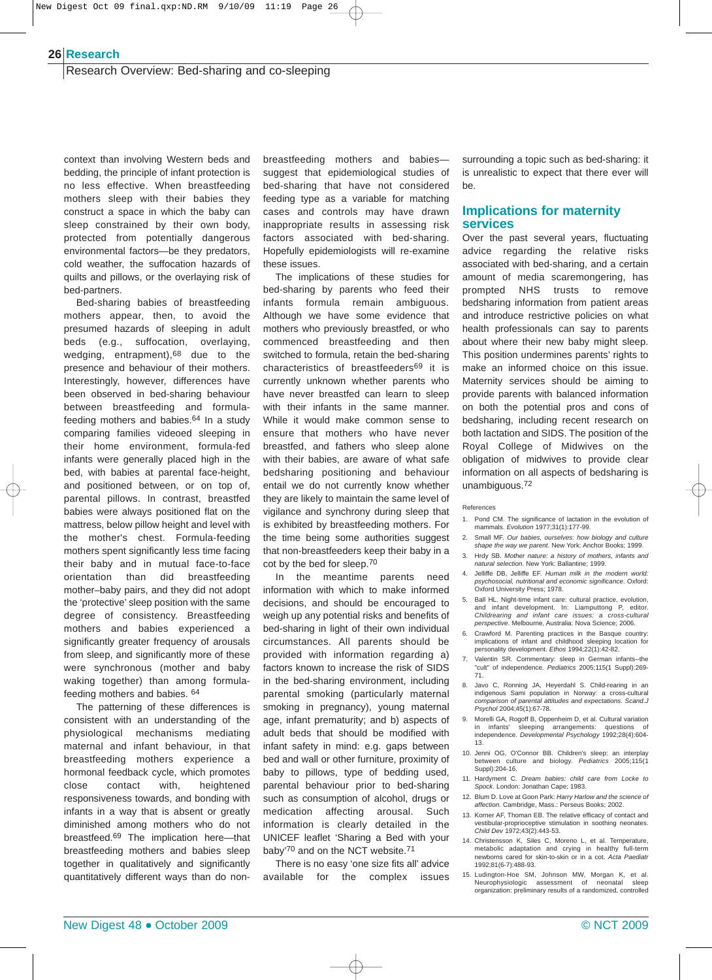#### **Research 26**

Research Overview: Bed-sharing and co-sleeping

context than involving Western beds and bedding, the principle of infant protection is no less effective. When breastfeeding mothers sleep with their babies they construct a space in which the baby can sleep constrained by their own body, protected from potentially dangerous environmental factors—be they predators, cold weather, the suffocation hazards of quilts and pillows, or the overlaying risk of bed-partners.

Bed-sharing babies of breastfeeding mothers appear, then, to avoid the presumed hazards of sleeping in adult beds (e.g., suffocation, overlaying, wedging, entrapment),68 due to the presence and behaviour of their mothers. Interestingly, however, differences have been observed in bed-sharing behaviour between breastfeeding and formulafeeding mothers and babies.64 In a study comparing families videoed sleeping in their home environment, formula-fed infants were generally placed high in the bed, with babies at parental face-height, and positioned between, or on top of, parental pillows. In contrast, breastfed babies were always positioned flat on the mattress, below pillow height and level with the mother's chest. Formula-feeding mothers spent significantly less time facing their baby and in mutual face-to-face orientation than did breastfeeding mother–baby pairs, and they did not adopt the 'protective' sleep position with the same degree of consistency. Breastfeeding mothers and babies experienced a significantly greater frequency of arousals from sleep, and significantly more of these were synchronous (mother and baby waking together) than among formulafeeding mothers and babies. 64

The patterning of these differences is consistent with an understanding of the physiological mechanisms mediating maternal and infant behaviour, in that breastfeeding mothers experience a hormonal feedback cycle, which promotes close contact with, heightened responsiveness towards, and bonding with infants in a way that is absent or greatly diminished among mothers who do not breastfeed.69 The implication here—that breastfeeding mothers and babies sleep together in qualitatively and significantly quantitatively different ways than do nonbreastfeeding mothers and babies suggest that epidemiological studies of bed-sharing that have not considered feeding type as a variable for matching cases and controls may have drawn inappropriate results in assessing risk factors associated with bed-sharing. Hopefully epidemiologists will re-examine these issues.

The implications of these studies for bed-sharing by parents who feed their infants formula remain ambiguous. Although we have some evidence that mothers who previously breastfed, or who commenced breastfeeding and then switched to formula, retain the bed-sharing characteristics of breastfeeders69 it is currently unknown whether parents who have never breastfed can learn to sleep with their infants in the same manner. While it would make common sense to ensure that mothers who have never breastfed, and fathers who sleep alone with their babies, are aware of what safe bedsharing positioning and behaviour entail we do not currently know whether they are likely to maintain the same level of vigilance and synchrony during sleep that is exhibited by breastfeeding mothers. For the time being some authorities suggest that non-breastfeeders keep their baby in a cot by the bed for sleep.70

In the meantime parents need information with which to make informed decisions, and should be encouraged to weigh up any potential risks and benefits of bed-sharing in light of their own individual circumstances. All parents should be provided with information regarding a) factors known to increase the risk of SIDS in the bed-sharing environment, including parental smoking (particularly maternal smoking in pregnancy), young maternal age, infant prematurity; and b) aspects of adult beds that should be modified with infant safety in mind: e.g. gaps between bed and wall or other furniture, proximity of baby to pillows, type of bedding used, parental behaviour prior to bed-sharing such as consumption of alcohol, drugs or medication affecting arousal. Such information is clearly detailed in the UNICEF leaflet 'Sharing a Bed with your baby'70 and on the NCT website.71

There is no easy 'one size fits all' advice available for the complex issues

surrounding a topic such as bed-sharing: it is unrealistic to expect that there ever will be.

#### **Implications for maternity services**

Over the past several years, fluctuating advice regarding the relative risks associated with bed-sharing, and a certain amount of media scaremongering, has prompted NHS trusts to remove bedsharing information from patient areas and introduce restrictive policies on what health professionals can say to parents about where their new baby might sleep. This position undermines parents' rights to make an informed choice on this issue. Maternity services should be aiming to provide parents with balanced information on both the potential pros and cons of bedsharing, including recent research on both lactation and SIDS. The position of the Royal College of Midwives on the obligation of midwives to provide clear information on all aspects of bedsharing is unambiguous.72

#### References

- 1. Pond CM. The significance of lactation in the evolution of mammals. *Evolution* 1977;31(1):177-99.
- 2. Small MF. *Our babies, ourselves: how biology and culture shape the way we parent*. New York: Anchor Books; 1999.
- 3. Hrdy SB. *Mother nature: a history of mothers, infants and natural selection*. New York: Ballantine; 1999.
- 4. Jelliffe DB, Jelliffe EF. *Human milk in the modern world: psychosocial, nutritional and economic significance*. Oxford: Oxford University Press; 1978.
- 5. Ball HL. Night-time infant care: cultural practice, evolution, and infant development. In: Liamputtong P, editor. *Childrearing and infant care issues: a cross-cultural perspective*. Melbourne, Australia: Nova Science; 2006.
- 6. Crawford M. Parenting practices in the Basque country: implications of infant and childhood sleeping location for personality development. *Ethos* 1994;22(1):42-82.
- 7. Valentin SR. Commentary: sleep in German infants--the "cult" of independence. *Pediatrics* 2005;115(1 Suppl):269- 71.
- 8. Javo C, Ronning JA, Heyerdahl S. Child-rearing in an indigenous Sami population in Norway: a cross-cultural *comparison of parental attitudes and expectations. Scand.J Psychol* 2004;45(1):67-78.
- 9. Morelli GA, Rogoff B, Oppenheim D, et al. Cultural variation in infants' sleeping arrangements: questions of independence. *Developmental Psychology* 1992;28(4):604- 13.
- 10. Jenni OG, O'Connor BB. Children's sleep: an interplay<br>between culture and biology. Pediatrics 2005;115(1 between culture and biology. *Pediatrics* 2005;115(1 Suppl):204-16.
- 11. Hardyment C. *Dream babies: child care from Locke to Spock*. London: Jonathan Cape; 1983.
- 12. Blum D. Love at Goon Park: *Harry Harlow and the science of affection*. Cambridge, Mass.: Perseus Books; 2002.
- 13. Korner AF, Thoman EB. The relative efficacy of contact and vestibular-proprioceptive stimulation in soothing neonate *Child Dev* 1972;43(2):443-53.
- 14. Christensson K, Siles C, Moreno L, et al. Temperature,<br>metabolic adaptation and crving in healthy full-term metabolic adaptation and crying in healthy newborns cared for skin-to-skin or in a cot. *Acta Paediatr* 1992;81(6-7):488-93.
- 15. Ludington-Hoe SM, Johnson MW, Morgan K, et al. Neurophysiologic assessment of neonatal sleep organization: preliminary results of a randomized, controlled